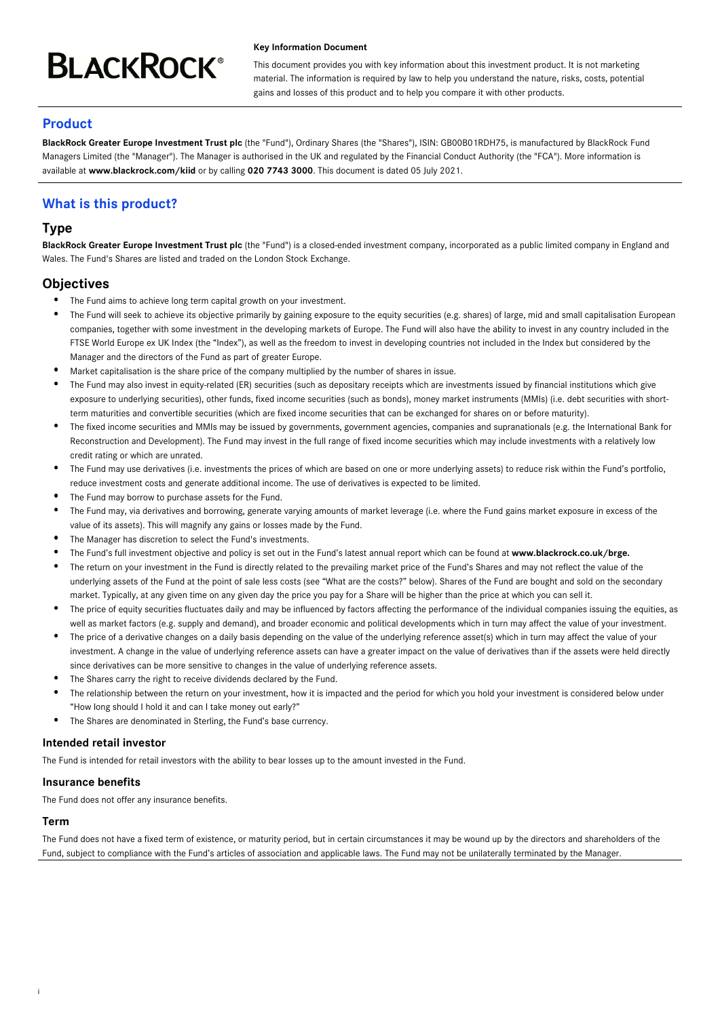# **BLACKROCK®**

#### **Key Information Document**

This document provides you with key information about this investment product. It is not marketing material. The information is required by law to help you understand the nature, risks, costs, potential gains and losses of this product and to help you compare it with other products.

# **Product**

**BlackRock Greater Europe Investment Trust plc** (the "Fund"), Ordinary Shares (the "Shares"), ISIN: GB00B01RDH75, is manufactured by BlackRock Fund Managers Limited (the "Manager"). The Manager is authorised in the UK and regulated by the Financial Conduct Authority (the "FCA"). More information is available at **www.blackrock.com/kiid** or by calling **020 7743 3000**. This document is dated 05 July 2021.

# **What is this product?**

# **Type**

**BlackRock Greater Europe Investment Trust plc** (the "Fund") is a closed-ended investment company, incorporated as a public limited company in England and Wales. The Fund's Shares are listed and traded on the London Stock Exchange.

# **Objectives**

- The Fund aims to achieve long term capital growth on your investment.
- The Fund will seek to achieve its objective primarily by gaining exposure to the equity securities (e.g. shares) of large, mid and small capitalisation European companies, together with some investment in the developing markets of Europe. The Fund will also have the ability to invest in any country included in the FTSE World Europe ex UK Index (the "Index"), as well as the freedom to invest in developing countries not included in the Index but considered by the Manager and the directors of the Fund as part of greater Europe.
- Market capitalisation is the share price of the company multiplied by the number of shares in issue.
- The Fund may also invest in equity-related (ER) securities (such as depositary receipts which are investments issued by financial institutions which give exposure to underlying securities), other funds, fixed income securities (such as bonds), money market instruments (MMIs) (i.e. debt securities with shortterm maturities and convertible securities (which are fixed income securities that can be exchanged for shares on or before maturity).
- The fixed income securities and MMIs may be issued by governments, government agencies, companies and supranationals (e.g. the International Bank for Reconstruction and Development). The Fund may invest in the full range of fixed income securities which may include investments with a relatively low credit rating or which are unrated.
- The Fund may use derivatives (i.e. investments the prices of which are based on one or more underlying assets) to reduce risk within the Fund's portfolio, reduce investment costs and generate additional income. The use of derivatives is expected to be limited.
- The Fund may borrow to purchase assets for the Fund.
- The Fund may, via derivatives and borrowing, generate varying amounts of market leverage (i.e. where the Fund gains market exposure in excess of the value of its assets). This will magnify any gains or losses made by the Fund.
- The Manager has discretion to select the Fund's investments.
- The Fund's full investment objective and policy is set out in the Fund's latest annual report which can be found at **www.blackrock.co.uk/brge.**
- The return on your investment in the Fund is directly related to the prevailing market price of the Fund's Shares and may not reflect the value of the underlying assets of the Fund at the point of sale less costs (see "What are the costs?" below). Shares of the Fund are bought and sold on the secondary market. Typically, at any given time on any given day the price you pay for a Share will be higher than the price at which you can sell it.
- The price of equity securities fluctuates daily and may be influenced by factors affecting the performance of the individual companies issuing the equities, as well as market factors (e.g. supply and demand), and broader economic and political developments which in turn may affect the value of your investment.
- The price of a derivative changes on a daily basis depending on the value of the underlying reference asset(s) which in turn may affect the value of your investment. A change in the value of underlying reference assets can have a greater impact on the value of derivatives than if the assets were held directly since derivatives can be more sensitive to changes in the value of underlying reference assets.
- The Shares carry the right to receive dividends declared by the Fund.
- The relationship between the return on your investment, how it is impacted and the period for which you hold your investment is considered below under "How long should I hold it and can I take money out early?"
- The Shares are denominated in Sterling, the Fund's base currency.

## **Intended retail investor**

The Fund is intended for retail investors with the ability to bear losses up to the amount invested in the Fund.

## **Insurance benefits**

The Fund does not offer any insurance benefits.

## **Term**

i

The Fund does not have a fixed term of existence, or maturity period, but in certain circumstances it may be wound up by the directors and shareholders of the Fund, subject to compliance with the Fund's articles of association and applicable laws. The Fund may not be unilaterally terminated by the Manager.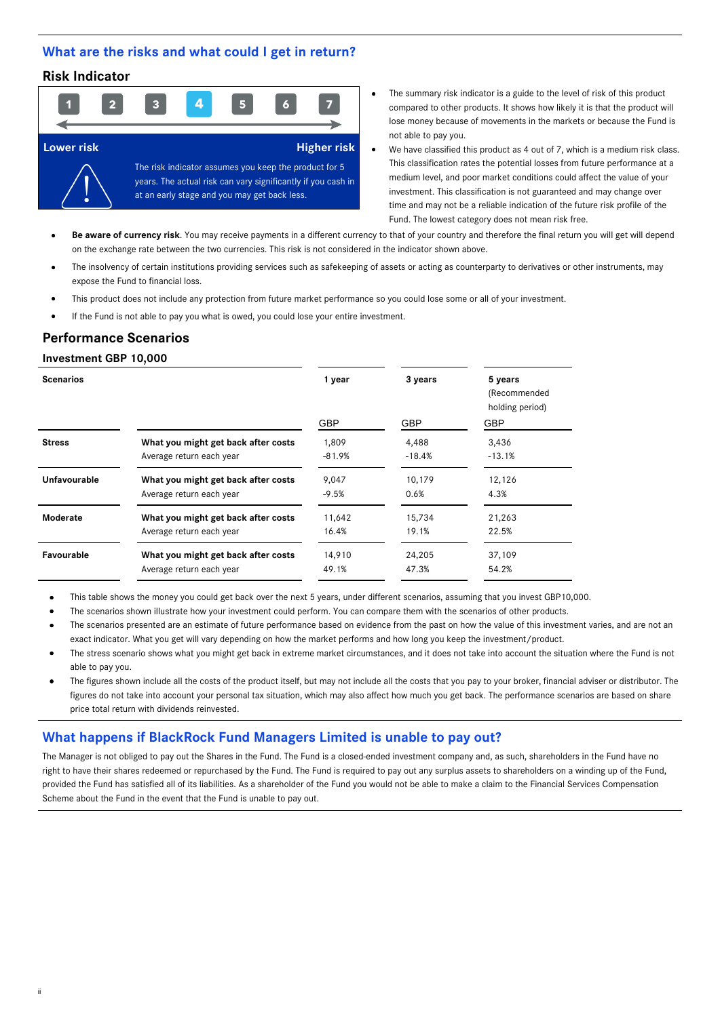## **What are the risks and what could I get in return?**

# **Risk Indicator**



- The summary risk indicator is a guide to the level of risk of this product compared to other products. It shows how likely it is that the product will lose money because of movements in the markets or because the Fund is not able to pay you.
- We have classified this product as 4 out of 7, which is a medium risk class. This classification rates the potential losses from future performance at a medium level, and poor market conditions could affect the value of your investment. This classification is not guaranteed and may change over time and may not be a reliable indication of the future risk profile of the Fund. The lowest category does not mean risk free.

Be aware of currency risk. You may receive payments in a different currency to that of your country and therefore the final return you will get will depend on the exchange rate between the two currencies. This risk is not considered in the indicator shown above.

- The insolvency of certain institutions providing services such as safekeeping of assets or acting as counterparty to derivatives or other instruments, may expose the Fund to financial loss.
- This product does not include any protection from future market performance so you could lose some or all of your investment.
- If the Fund is not able to pay you what is owed, you could lose your entire investment.

## **Performance Scenarios**

#### **Investment GBP 10,000**

ii

| <b>Scenarios</b> |                                     | 1 year     | 3 years    | 5 years<br>(Recommended<br>holding period) |
|------------------|-------------------------------------|------------|------------|--------------------------------------------|
|                  |                                     | <b>GBP</b> | <b>GBP</b> | <b>GBP</b>                                 |
| <b>Stress</b>    | What you might get back after costs | 1,809      | 4,488      | 3,436                                      |
|                  | Average return each year            | $-81.9%$   | $-18.4%$   | $-13.1%$                                   |
| Unfavourable     | What you might get back after costs | 9,047      | 10,179     | 12,126                                     |
|                  | Average return each year            | $-9.5%$    | 0.6%       | 4.3%                                       |
| Moderate         | What you might get back after costs | 11,642     | 15,734     | 21,263                                     |
|                  | Average return each year            | 16.4%      | 19.1%      | 22.5%                                      |
| Favourable       | What you might get back after costs | 14,910     | 24,205     | 37,109                                     |
|                  | Average return each year            | 49.1%      | 47.3%      | 54.2%                                      |

This table shows the money you could get back over the next 5 years, under different scenarios, assuming that you invest GBP10,000.

The scenarios shown illustrate how your investment could perform. You can compare them with the scenarios of other products.

- The scenarios presented are an estimate of future performance based on evidence from the past on how the value of this investment varies, and are not an exact indicator. What you get will vary depending on how the market performs and how long you keep the investment/product.
- The stress scenario shows what you might get back in extreme market circumstances, and it does not take into account the situation where the Fund is not able to pay you.
- The figures shown include all the costs of the product itself, but may not include all the costs that you pay to your broker, financial adviser or distributor. The figures do not take into account your personal tax situation, which may also affect how much you get back. The performance scenarios are based on share price total return with dividends reinvested.

## **What happens if BlackRock Fund Managers Limited is unable to pay out?**

The Manager is not obliged to pay out the Shares in the Fund. The Fund is a closed-ended investment company and, as such, shareholders in the Fund have no right to have their shares redeemed or repurchased by the Fund. The Fund is required to pay out any surplus assets to shareholders on a winding up of the Fund, provided the Fund has satisfied all of its liabilities. As a shareholder of the Fund you would not be able to make a claim to the Financial Services Compensation Scheme about the Fund in the event that the Fund is unable to pay out.